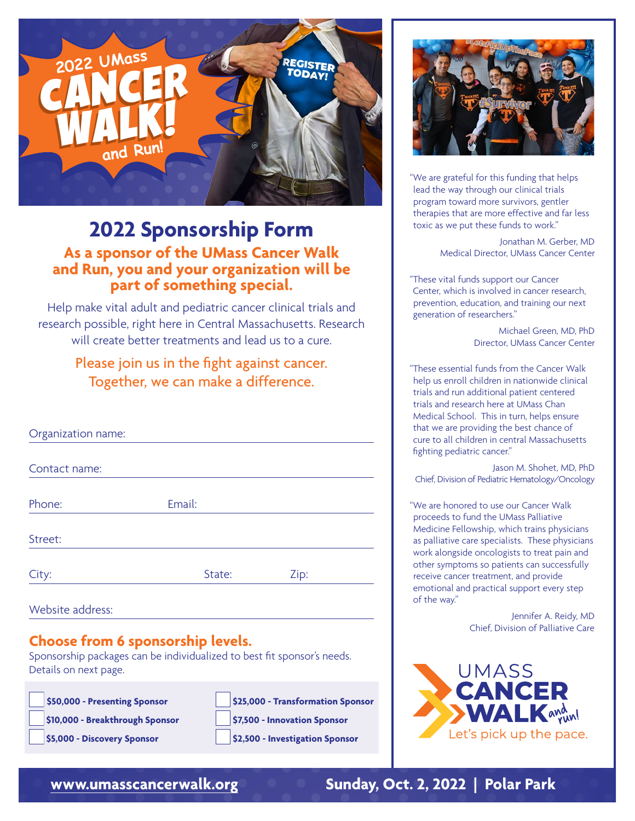

## **2022 Sponsorship Form As a sponsor of the UMass Cancer Walk and Run, you and your organization will be part of something special.**

Help make vital adult and pediatric cancer clinical trials and research possible, right here in Central Massachusetts. Research will create better treatments and lead us to a cure.

### Please join us in the fight against cancer. Together, we can make a difference.

| Organization name: |        |      |
|--------------------|--------|------|
| Contact name:      |        |      |
| Phone:             | Email: |      |
| Street:            |        |      |
| City:              | State: | Zip: |

Website address:

### **Choose from 6 sponsorship levels.**

Sponsorship packages can be individualized to best fit sponsor's needs. Details on next page.

| \$50,000 - Presenting Sponsor                                                                                                                                                                                                                                                                                                                                                                                       |
|---------------------------------------------------------------------------------------------------------------------------------------------------------------------------------------------------------------------------------------------------------------------------------------------------------------------------------------------------------------------------------------------------------------------|
| \$10,000 - Breakthrough Sponsor                                                                                                                                                                                                                                                                                                                                                                                     |
| $\epsilon$ 000 $\mu$ = $\epsilon$ = $\epsilon$ = $\epsilon$ = $\epsilon$ = $\epsilon$ = $\epsilon$ = $\epsilon$ = $\epsilon$ = $\epsilon$ = $\epsilon$ = $\epsilon$ = $\epsilon$ = $\epsilon$ = $\epsilon$ = $\epsilon$ = $\epsilon$ = $\epsilon$ = $\epsilon$ = $\epsilon$ = $\epsilon$ = $\epsilon$ = $\epsilon$ = $\epsilon$ = $\epsilon$ = $\epsilon$ = $\epsilon$ = $\epsilon$ = $\epsilon$ = $\epsilon$ = $\$ |

| \$50,000 - Presenting Sponsor   | \$25,000 - Transformation Sponsor |
|---------------------------------|-----------------------------------|
| \$10,000 - Breakthrough Sponsor | \$7,500 - Innovation Sponsor      |





"We are grateful for this funding that helps lead the way through our clinical trials program toward more survivors, gentler therapies that are more effective and far less toxic as we put these funds to work."

> Jonathan M. Gerber, MD Medical Director, UMass Cancer Center

"These vital funds support our Cancer Center, which is involved in cancer research, prevention, education, and training our next generation of researchers."

> Michael Green, MD, PhD Director, UMass Cancer Center

"These essential funds from the Cancer Walk help us enroll children in nationwide clinical trials and run additional patient centered trials and research here at UMass Chan Medical School. This in turn, helps ensure that we are providing the best chance of cure to all children in central Massachusetts fighting pediatric cancer."

Jason M. Shohet, MD, PhD Chief, Division of Pediatric Hematology/Oncology

"We are honored to use our Cancer Walk proceeds to fund the UMass Palliative Medicine Fellowship, which trains physicians as palliative care specialists. These physicians work alongside oncologists to treat pain and other symptoms so patients can successfully receive cancer treatment, and provide emotional and practical support every step of the way."

> Jennifer A. Reidy, MD Chief, Division of Palliative Care



### **<www.umasscancerwalk.org> Sunday, Oct. 2, 2022 | Polar Park**